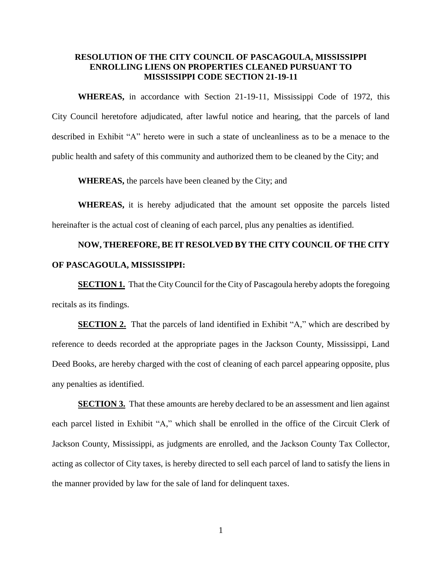## **RESOLUTION OF THE CITY COUNCIL OF PASCAGOULA, MISSISSIPPI ENROLLING LIENS ON PROPERTIES CLEANED PURSUANT TO MISSISSIPPI CODE SECTION 21-19-11**

**WHEREAS,** in accordance with Section 21-19-11, Mississippi Code of 1972, this City Council heretofore adjudicated, after lawful notice and hearing, that the parcels of land described in Exhibit "A" hereto were in such a state of uncleanliness as to be a menace to the public health and safety of this community and authorized them to be cleaned by the City; and

**WHEREAS,** the parcels have been cleaned by the City; and

**WHEREAS,** it is hereby adjudicated that the amount set opposite the parcels listed hereinafter is the actual cost of cleaning of each parcel, plus any penalties as identified.

## **NOW, THEREFORE, BE IT RESOLVED BY THE CITY COUNCIL OF THE CITY OF PASCAGOULA, MISSISSIPPI:**

**SECTION 1.** That the City Council for the City of Pascagoula hereby adopts the foregoing recitals as its findings.

**SECTION 2.** That the parcels of land identified in Exhibit "A," which are described by reference to deeds recorded at the appropriate pages in the Jackson County, Mississippi, Land Deed Books, are hereby charged with the cost of cleaning of each parcel appearing opposite, plus any penalties as identified.

**SECTION 3.** That these amounts are hereby declared to be an assessment and lien against each parcel listed in Exhibit "A," which shall be enrolled in the office of the Circuit Clerk of Jackson County, Mississippi, as judgments are enrolled, and the Jackson County Tax Collector, acting as collector of City taxes, is hereby directed to sell each parcel of land to satisfy the liens in the manner provided by law for the sale of land for delinquent taxes.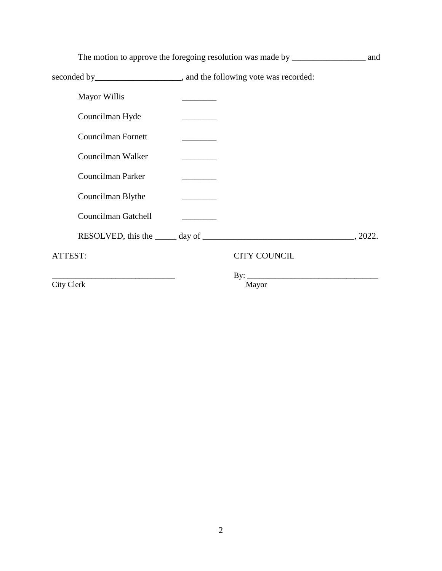| The motion to approve the foregoing resolution was made by _____________________ |                                   | and |
|----------------------------------------------------------------------------------|-----------------------------------|-----|
|                                                                                  |                                   |     |
| <b>Mayor Willis</b>                                                              |                                   |     |
| Councilman Hyde                                                                  |                                   |     |
| <b>Councilman Fornett</b>                                                        |                                   |     |
| Councilman Walker                                                                |                                   |     |
| Councilman Parker                                                                |                                   |     |
| Councilman Blythe                                                                | <b>Contract Contract Contract</b> |     |
| Councilman Gatchell                                                              |                                   |     |
|                                                                                  |                                   |     |
| ATTEST:                                                                          | <b>CITY COUNCIL</b>               |     |
| City Clerk                                                                       | Mayor                             |     |